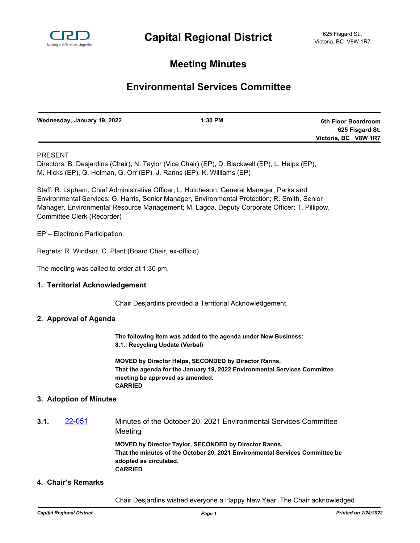

## **Meeting Minutes**

# **Environmental Services Committee**

| Wednesday, January 19, 2022 | $1:30$ PM | 6th Floor Boardroom  |
|-----------------------------|-----------|----------------------|
|                             |           | 625 Fisgard St.      |
|                             |           | Victoria, BC V8W 1R7 |

## PRESENT

Directors: B. Desjardins (Chair), N. Taylor (Vice Chair) (EP), D. Blackwell (EP), L. Helps (EP), M. Hicks (EP), G. Holman, G. Orr (EP), J. Ranns (EP), K. Williams (EP)

Staff: R. Lapham, Chief Administrative Officer; L. Hutcheson, General Manager, Parks and Environmental Services; G. Harris, Senior Manager, Environmental Protection; R. Smith, Senior Manager, Environmental Resource Management; M. Lagoa, Deputy Corporate Officer; T. Pillipow, Committee Clerk (Recorder)

EP – Electronic Participation

Regrets: R. Windsor, C. Plant (Board Chair, ex-officio)

The meeting was called to order at 1:30 pm.

#### **1. Territorial Acknowledgement**

Chair Desjardins provided a Territorial Acknowledgement.

#### **2. Approval of Agenda**

**The following item was added to the agenda under New Business: 8.1.: Recycling Update (Verbal)**

**MOVED by Director Helps, SECONDED by Director Ranns, That the agenda for the January 19, 2022 Environmental Services Committee meeting be approved as amended. CARRIED**

#### **3. Adoption of Minutes**

**3.1.** [22-051](http://crd.ca.legistar.com/gateway.aspx?m=l&id=/matter.aspx?key=8907) Minutes of the October 20, 2021 Environmental Services Committee Meeting

> **MOVED by Director Taylor, SECONDED by Director Ranns, That the minutes of the October 20, 2021 Environmental Services Committee be adopted as circulated. CARRIED**

## **4. Chair's Remarks**

Chair Desjardins wished everyone a Happy New Year. The Chair acknowledged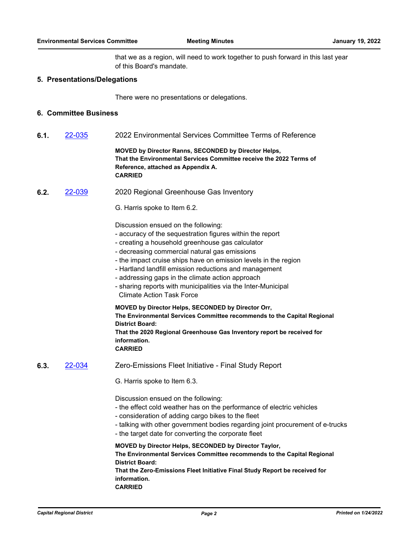that we as a region, will need to work together to push forward in this last year of this Board's mandate.

#### **5. Presentations/Delegations**

There were no presentations or delegations.

## **6. Committee Business**

**6.1.** [22-035](http://crd.ca.legistar.com/gateway.aspx?m=l&id=/matter.aspx?key=8891) 2022 Environmental Services Committee Terms of Reference

**MOVED by Director Ranns, SECONDED by Director Helps, That the Environmental Services Committee receive the 2022 Terms of Reference, attached as Appendix A. CARRIED**

**6.2.** [22-039](http://crd.ca.legistar.com/gateway.aspx?m=l&id=/matter.aspx?key=8895) 2020 Regional Greenhouse Gas Inventory

G. Harris spoke to Item 6.2.

Discussion ensued on the following:

- accuracy of the sequestration figures within the report
- creating a household greenhouse gas calculator
- decreasing commercial natural gas emissions
- the impact cruise ships have on emission levels in the region
- Hartland landfill emission reductions and management
- addressing gaps in the climate action approach
- sharing reports with municipalities via the Inter-Municipal Climate Action Task Force

**MOVED by Director Helps, SECONDED by Director Orr, The Environmental Services Committee recommends to the Capital Regional District Board: That the 2020 Regional Greenhouse Gas Inventory report be received for** 

**information.**

**CARRIED**

- **6.3.** [22-034](http://crd.ca.legistar.com/gateway.aspx?m=l&id=/matter.aspx?key=8890) Zero-Emissions Fleet Initiative Final Study Report
	- G. Harris spoke to Item 6.3.

Discussion ensued on the following:

- the effect cold weather has on the performance of electric vehicles
- consideration of adding cargo bikes to the fleet
- talking with other government bodies regarding joint procurement of e-trucks
- the target date for converting the corporate fleet

## **MOVED by Director Helps, SECONDED by Director Taylor, The Environmental Services Committee recommends to the Capital Regional District Board:**

**That the Zero-Emissions Fleet Initiative Final Study Report be received for information. CARRIED**